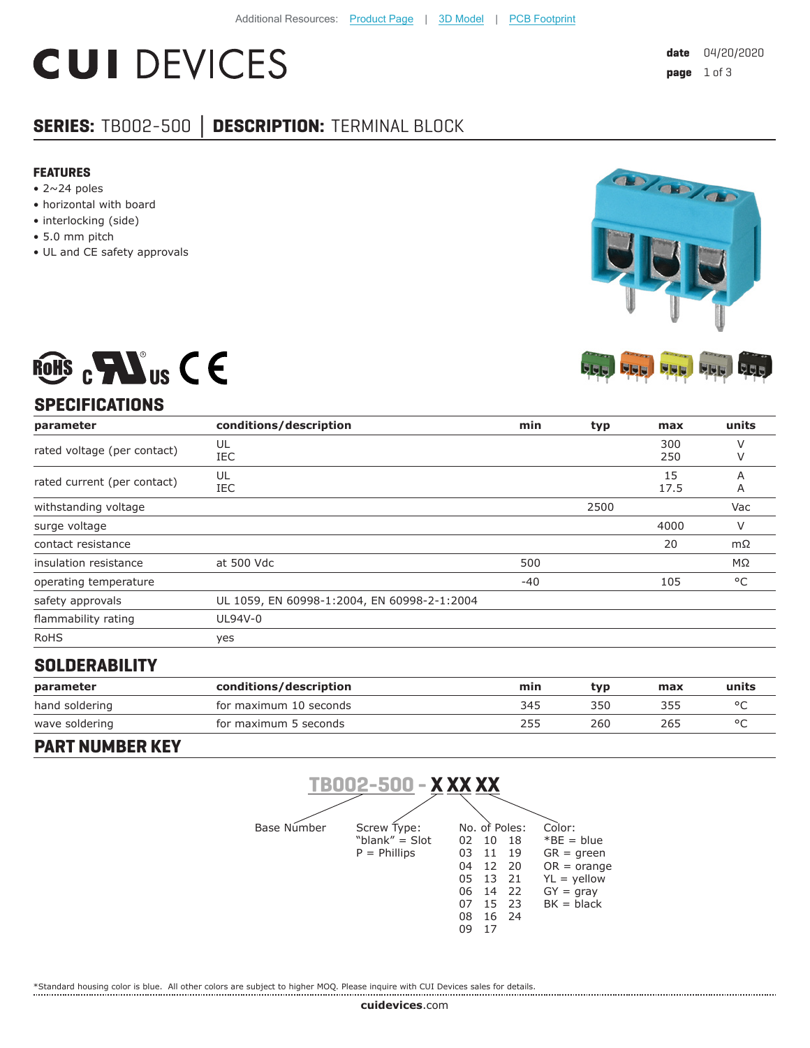# **CUI DEVICES**

### **SERIES:** TB002-500 **│ DESCRIPTION:** TERMINAL BLOCK

#### **FEATURES**

- $\bullet$  2~24 poles
- horizontal with board
- interlocking (side)
- 5.0 mm pitch
- UL and CE safety approvals



## **SPECIFICATIONS**

ROHS  $_{c}$  Mus C E

| parameter                   | conditions/description                      | min   | typ  | max        | units     |
|-----------------------------|---------------------------------------------|-------|------|------------|-----------|
| rated voltage (per contact) | UL<br>IEC                                   |       |      | 300<br>250 | $\vee$    |
| rated current (per contact) | UL<br>IEC                                   |       |      | 15<br>17.5 | A<br>A    |
| withstanding voltage        |                                             |       | 2500 |            | Vac       |
| surge voltage               |                                             |       |      | 4000       | V         |
| contact resistance          |                                             |       |      | 20         | $m\Omega$ |
| insulation resistance       | at 500 Vdc                                  | 500   |      |            | $M\Omega$ |
| operating temperature       |                                             | $-40$ |      | 105        | °C        |
| safety approvals            | UL 1059, EN 60998-1:2004, EN 60998-2-1:2004 |       |      |            |           |
| flammability rating         | UL94V-0                                     |       |      |            |           |
| <b>RoHS</b>                 | yes                                         |       |      |            |           |

#### **SOLDERABILITY**

| parameter      | conditions/description | min | tvp | max | units |
|----------------|------------------------|-----|-----|-----|-------|
| hand soldering | for maximum 10 seconds | 345 | 350 | 355 |       |
| wave soldering | for maximum 5 seconds  | 255 | 260 | 265 |       |

#### **PART NUMBER KEY**



\*Standard housing color is blue. All other colors are subject to higher MOQ. Please inquire with CUI Devices sales for details.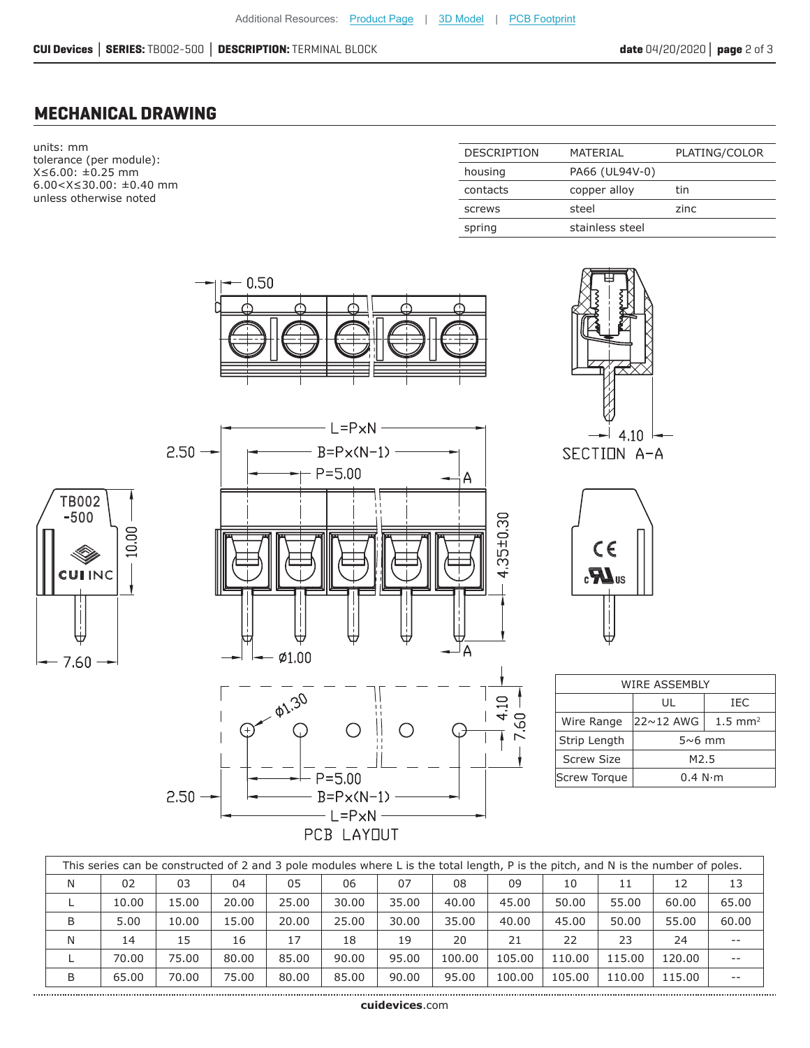#### **MECHANICAL DRAWING**

units: mm tolerance (per module): X≤6.00: ±0.25 mm 6.00<X≤30.00: ±0.40 mm unless otherwise noted

| MATERIAL        | PLATING/COLOR |
|-----------------|---------------|
| PA66 (UL94V-0)  |               |
| copper alloy    | tin           |
| steel           | zinc          |
| stainless steel |               |
|                 |               |







| WIRF ASSFMBIY                     |                  |                    |  |  |  |  |
|-----------------------------------|------------------|--------------------|--|--|--|--|
|                                   | UL               | IEC                |  |  |  |  |
| Wire Range                        | 22∼12 AWG        | $1.5 \text{ mm}^2$ |  |  |  |  |
| Strip Length                      | $5\nu 6$ mm      |                    |  |  |  |  |
| <b>Screw Size</b>                 | M <sub>2.5</sub> |                    |  |  |  |  |
| Screw Torque<br>$0.4$ N $\cdot$ m |                  |                    |  |  |  |  |

| This series can be constructed of 2 and 3 pole modules where L is the total length, P is the pitch, and N is the number of poles. |       |       |       |       |       |       |        |        |        |        |        |       |
|-----------------------------------------------------------------------------------------------------------------------------------|-------|-------|-------|-------|-------|-------|--------|--------|--------|--------|--------|-------|
| N                                                                                                                                 | 02    | 03    | 04    | 05    | 06    | 07    | 08     | 09     | 10     | 11     | 12     | 13    |
|                                                                                                                                   | 10.00 | 15.00 | 20.00 | 25.00 | 30.00 | 35.00 | 40.00  | 45.00  | 50.00  | 55.00  | 60.00  | 65.00 |
| B                                                                                                                                 | 5.00  | 10.00 | 15.00 | 20.00 | 25.00 | 30.00 | 35.00  | 40.00  | 45.00  | 50.00  | 55.00  | 60.00 |
| N                                                                                                                                 | 14    | 15    | 16    | 17    | 18    | 19    | 20     | 21     | 22     | 23     | 24     | $ -$  |
|                                                                                                                                   | 70.00 | 75.00 | 80.00 | 85.00 | 90.00 | 95.00 | 100.00 | 105.00 | 110.00 | 115.00 | 120.00 | $ -$  |
| B                                                                                                                                 | 65.00 | 70.00 | 75.00 | 80.00 | 85.00 | 90.00 | 95.00  | 100.00 | 105.00 | 110.00 | 115.00 | $- -$ |
|                                                                                                                                   |       |       |       |       |       |       |        |        |        |        |        |       |